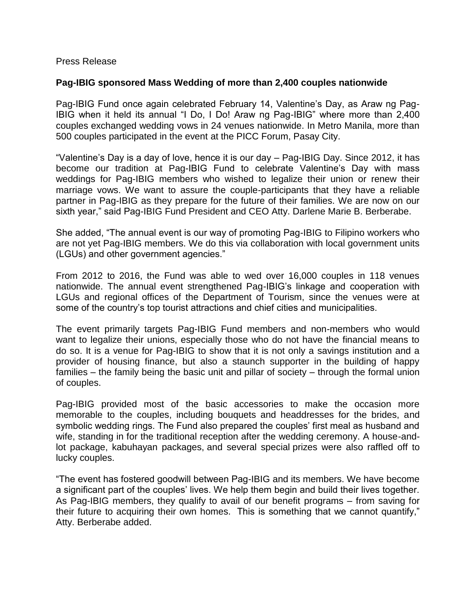## Press Release

## **Pag-IBIG sponsored Mass Wedding of more than 2,400 couples nationwide**

Pag-IBIG Fund once again celebrated February 14, Valentine's Day, as Araw ng Pag-IBIG when it held its annual "I Do, I Do! Araw ng Pag-IBIG" where more than 2,400 couples exchanged wedding vows in 24 venues nationwide. In Metro Manila, more than 500 couples participated in the event at the PICC Forum, Pasay City.

"Valentine's Day is a day of love, hence it is our day – Pag-IBIG Day. Since 2012, it has become our tradition at Pag-IBIG Fund to celebrate Valentine's Day with mass weddings for Pag-IBIG members who wished to legalize their union or renew their marriage vows. We want to assure the couple-participants that they have a reliable partner in Pag-IBIG as they prepare for the future of their families. We are now on our sixth year," said Pag-IBIG Fund President and CEO Atty. Darlene Marie B. Berberabe.

She added, "The annual event is our way of promoting Pag-IBIG to Filipino workers who are not yet Pag-IBIG members. We do this via collaboration with local government units (LGUs) and other government agencies."

From 2012 to 2016, the Fund was able to wed over 16,000 couples in 118 venues nationwide. The annual event strengthened Pag-IBIG's linkage and cooperation with LGUs and regional offices of the Department of Tourism, since the venues were at some of the country's top tourist attractions and chief cities and municipalities.

The event primarily targets Pag-IBIG Fund members and non-members who would want to legalize their unions, especially those who do not have the financial means to do so. It is a venue for Pag-IBIG to show that it is not only a savings institution and a provider of housing finance, but also a staunch supporter in the building of happy families – the family being the basic unit and pillar of society – through the formal union of couples.

Pag-IBIG provided most of the basic accessories to make the occasion more memorable to the couples, including bouquets and headdresses for the brides, and symbolic wedding rings. The Fund also prepared the couples' first meal as husband and wife, standing in for the traditional reception after the wedding ceremony. A house-andlot package, kabuhayan packages, and several special prizes were also raffled off to lucky couples.

"The event has fostered goodwill between Pag-IBIG and its members. We have become a significant part of the couples' lives. We help them begin and build their lives together. As Pag-IBIG members, they qualify to avail of our benefit programs – from saving for their future to acquiring their own homes. This is something that we cannot quantify," Atty. Berberabe added.